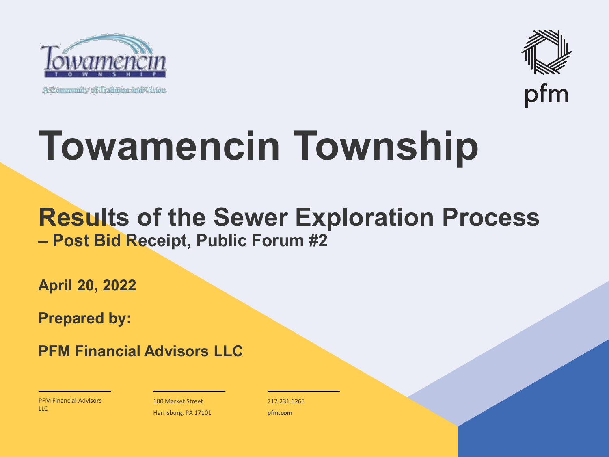

A Community of Tradition and Vision



## **Towamencin Township**

#### **Results of the Sewer Exploration Process – Post Bid Receipt, Public Forum #2**

**April 20, 2022**

**Prepared by:**

**PFM Financial Advisors LLC**

PFM Financial Advisors  $\overline{L}$ 

100 Market Street Harrisburg, PA 17101 717.231.6265 **pfm.com**

 $\mathcal{P}_\text{max}$  and  $\mathcal{P}_\text{max}$  is the probability of  $\mathcal{P}_\text{max}$  and  $\mathcal{P}_\text{max}$  and  $\mathcal{P}_\text{max}$  and  $\mathcal{P}_\text{max}$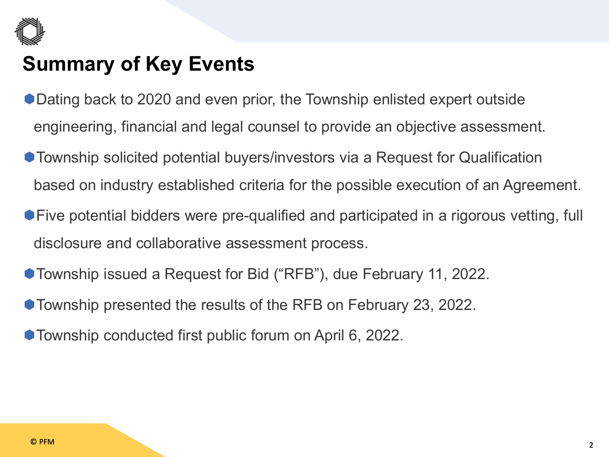

#### **Summary of Key Events**

- Dating back to 2020 and even prior, the Township enlisted expert outside engineering, financial and legal counsel to provide an objective assessment.
- Township solicited potential buyers/investors via a Request for Qualification based on industry established criteria for the possible execution of an Agreement.
- Five potential bidders were pre-qualified and participated in a rigorous vetting, full disclosure and collaborative assessment process.
- Township issued a Request for Bid ("RFB"), due February 11, 2022.
- Township presented the results of the RFB on February 23, 2022.
- Township conducted first public forum on April 6, 2022.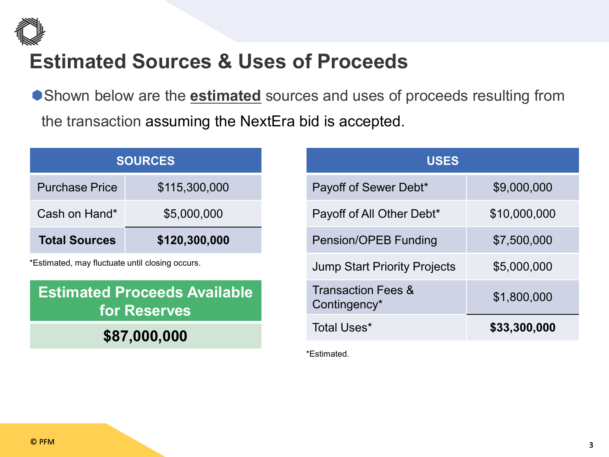

#### **Estimated Sources & Uses of Proceeds**

Shown below are the **estimated** sources and uses of proceeds resulting from the transaction assuming the NextEra bid is accepted.

|                       | <b>SOURCES</b> |
|-----------------------|----------------|
| <b>Purchase Price</b> | \$115,300,000  |
| Cash on Hand*         | \$5,000,000    |
| <b>Total Sources</b>  | \$120,300,000  |

\*Estimated, may fluctuate until closing occurs.

#### **Estimated Proceeds Available for Reserves**

**\$87,000,000**

| <b>USES</b>                                   |              |
|-----------------------------------------------|--------------|
| Payoff of Sewer Debt*                         | \$9,000,000  |
| Payoff of All Other Debt*                     | \$10,000,000 |
| <b>Pension/OPEB Funding</b>                   | \$7,500,000  |
| <b>Jump Start Priority Projects</b>           | \$5,000,000  |
| <b>Transaction Fees &amp;</b><br>Contingency* | \$1,800,000  |
| Total Uses*                                   | \$33,300,000 |

\*Estimated.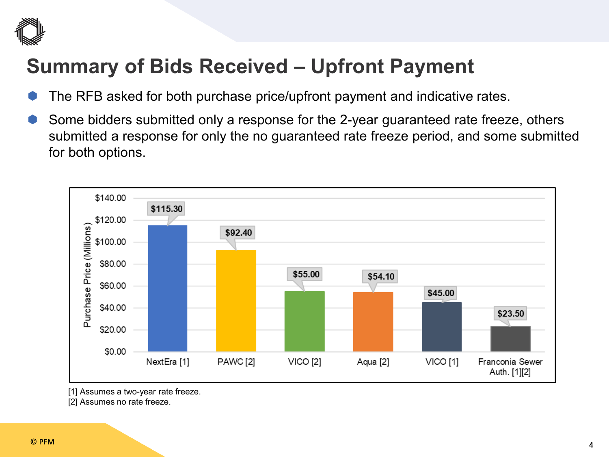

### **Summary of Bids Received – Upfront Payment**

- The RFB asked for both purchase price/upfront payment and indicative rates.
- Some bidders submitted only a response for the 2-year guaranteed rate freeze, others submitted a response for only the no guaranteed rate freeze period, and some submitted for both options.



<sup>[1]</sup> Assumes a two-year rate freeze.

[2] Assumes no rate freeze.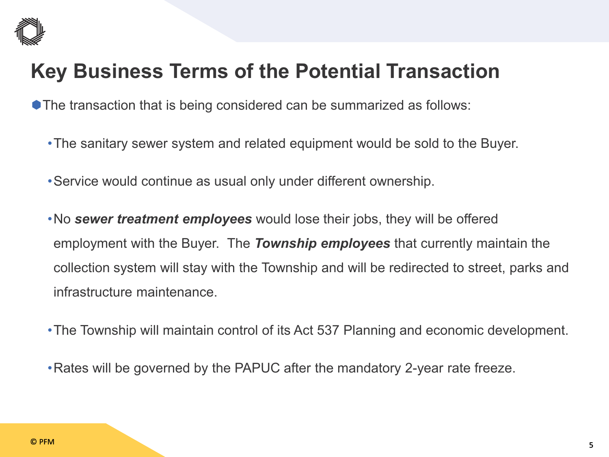

#### **Key Business Terms of the Potential Transaction**

**The transaction that is being considered can be summarized as follows:** 

- •The sanitary sewer system and related equipment would be sold to the Buyer.
- •Service would continue as usual only under different ownership.
- •No *sewer treatment employees* would lose their jobs, they will be offered employment with the Buyer. The *Township employees* that currently maintain the collection system will stay with the Township and will be redirected to street, parks and infrastructure maintenance.
- •The Township will maintain control of its Act 537 Planning and economic development.
- •Rates will be governed by the PAPUC after the mandatory 2-year rate freeze.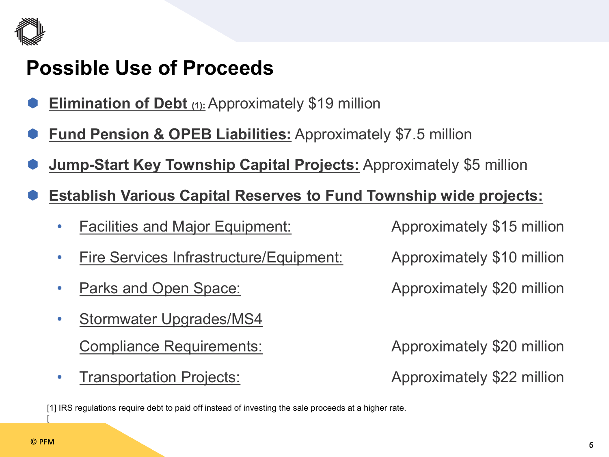

#### **Possible Use of Proceeds**

- **Elimination of Debt (1):** Approximately \$19 million
- **Fund Pension & OPEB Liabilities:** Approximately \$7.5 million
- **Jump-Start Key Township Capital Projects:** Approximately \$5 million
- **Establish Various Capital Reserves to Fund Township wide projects:**
	- **Facilities and Major Equipment:** Approximately \$15 million
	- Fire Services Infrastructure/Equipment: Approximately \$10 million
	-
	- Stormwater Upgrades/MS4 Compliance Requirements: **Approximately \$20 million**
	- Transportation Projects: Approximately \$22 million

**Parks and Open Space:** Approximately \$20 million

[1] IRS regulations require debt to paid off instead of investing the sale proceeds at a higher rate.

[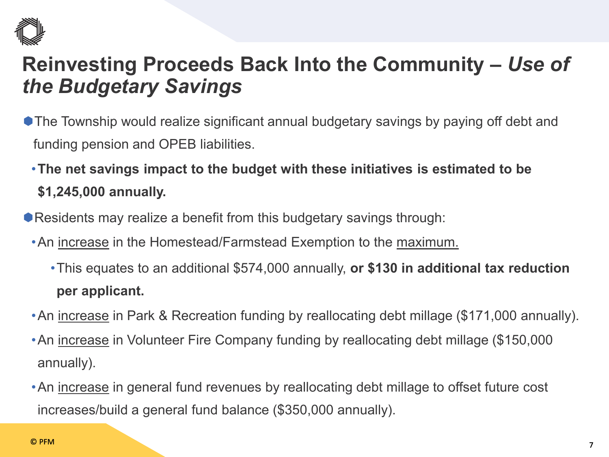

#### **Reinvesting Proceeds Back Into the Community –** *Use of the Budgetary Savings*

- The Township would realize significant annual budgetary savings by paying off debt and funding pension and OPEB liabilities.
	- •**The net savings impact to the budget with these initiatives is estimated to be \$1,245,000 annually.**
- Residents may realize a benefit from this budgetary savings through:
	- •An increase in the Homestead/Farmstead Exemption to the maximum.
		- •This equates to an additional \$574,000 annually, **or \$130 in additional tax reduction per applicant.**
	- •An increase in Park & Recreation funding by reallocating debt millage (\$171,000 annually).
	- •An increase in Volunteer Fire Company funding by reallocating debt millage (\$150,000 annually).
	- •An increase in general fund revenues by reallocating debt millage to offset future cost increases/build a general fund balance (\$350,000 annually).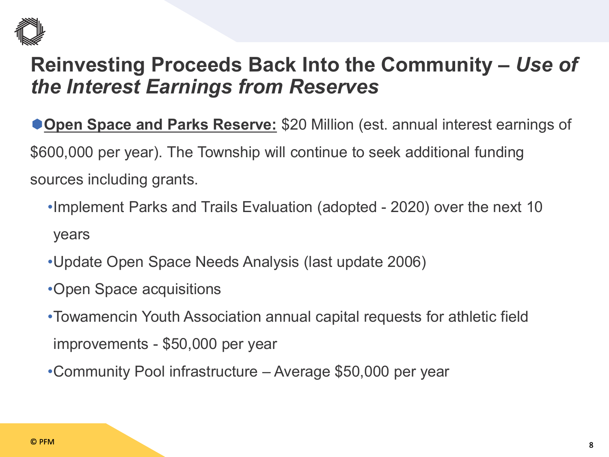

**Open Space and Parks Reserve:** \$20 Million (est. annual interest earnings of \$600,000 per year). The Township will continue to seek additional funding sources including grants.

- •Implement Parks and Trails Evaluation (adopted 2020) over the next 10 years
- •Update Open Space Needs Analysis (last update 2006)
- •Open Space acquisitions
- •Towamencin Youth Association annual capital requests for athletic field improvements - \$50,000 per year
- •Community Pool infrastructure Average \$50,000 per year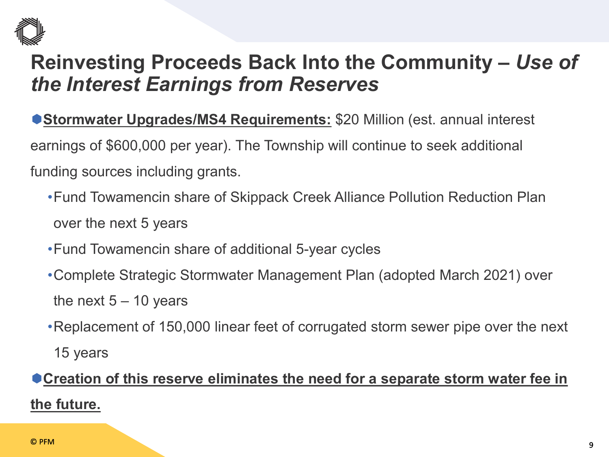

**Stormwater Upgrades/MS4 Requirements:** \$20 Million (est. annual interest

earnings of \$600,000 per year). The Township will continue to seek additional

funding sources including grants.

- •Fund Towamencin share of Skippack Creek Alliance Pollution Reduction Plan over the next 5 years
- •Fund Towamencin share of additional 5-year cycles
- •Complete Strategic Stormwater Management Plan (adopted March 2021) over the next  $5 - 10$  years
- •Replacement of 150,000 linear feet of corrugated storm sewer pipe over the next

15 years

#### **Creation of this reserve eliminates the need for a separate storm water fee in the future.**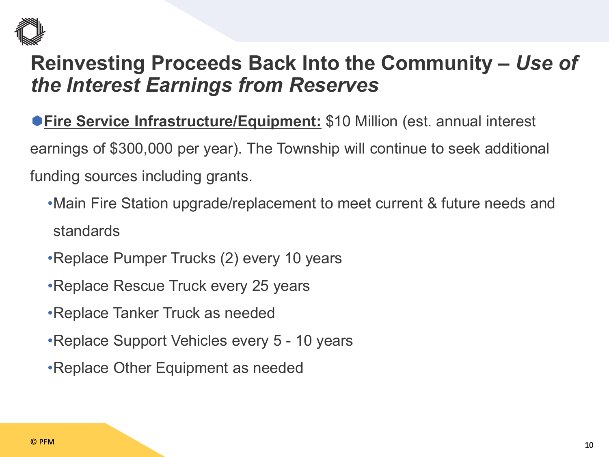

**Fire Service Infrastructure/Equipment:** \$10 Million (est. annual interest earnings of \$300,000 per year). The Township will continue to seek additional funding sources including grants.

- •Main Fire Station upgrade/replacement to meet current & future needs and standards
- •Replace Pumper Trucks (2) every 10 years
- •Replace Rescue Truck every 25 years
- •Replace Tanker Truck as needed
- •Replace Support Vehicles every 5 10 years
- •Replace Other Equipment as needed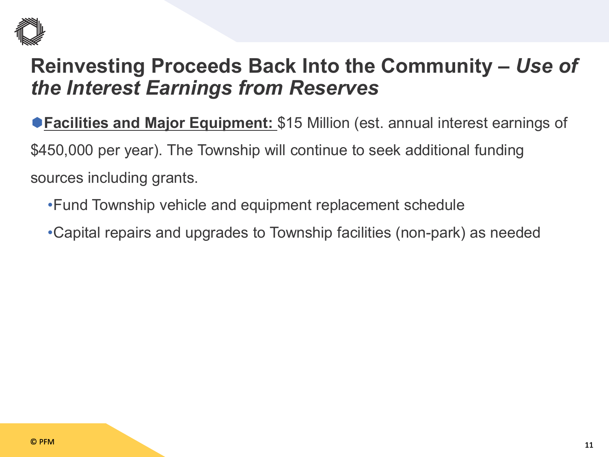

**Facilities and Major Equipment:** \$15 Million (est. annual interest earnings of \$450,000 per year). The Township will continue to seek additional funding sources including grants.

- •Fund Township vehicle and equipment replacement schedule
- •Capital repairs and upgrades to Township facilities (non-park) as needed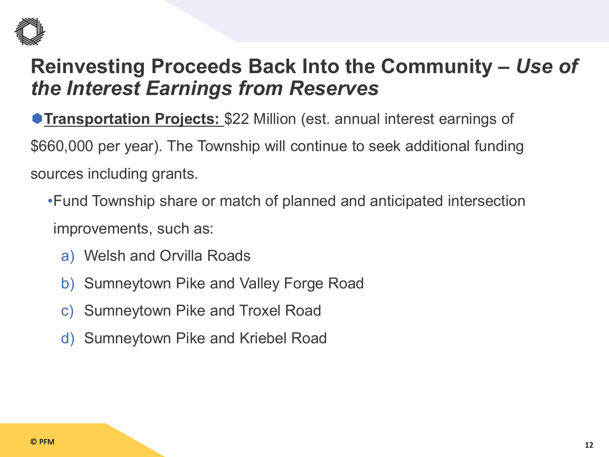

**Transportation Projects: \$22 Million (est. annual interest earnings of** \$660,000 per year). The Township will continue to seek additional funding sources including grants.

- •Fund Township share or match of planned and anticipated intersection improvements, such as:
	- a) Welsh and Orvilla Roads
	- b) Sumneytown Pike and Valley Forge Road
	- c) Sumneytown Pike and Troxel Road
	- d) Sumneytown Pike and Kriebel Road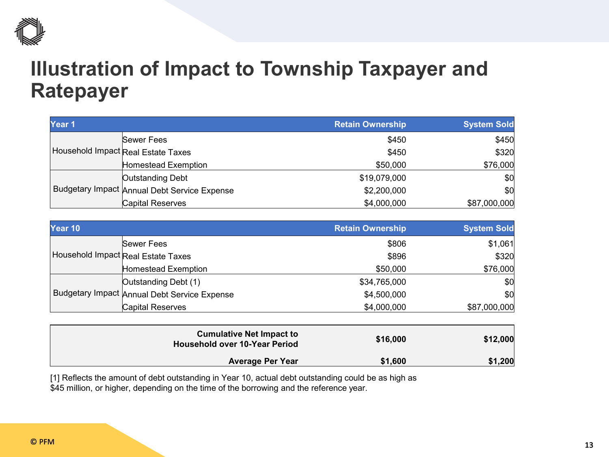

#### **Illustration of Impact to Township Taxpayer and Ratepayer**

| Year <sub>1</sub> |                                              | <b>Retain Ownership</b> | <b>System Sold</b> |
|-------------------|----------------------------------------------|-------------------------|--------------------|
|                   | Sewer Fees                                   | \$450                   | \$450              |
|                   | Household Impact Real Estate Taxes           | \$450                   | \$320              |
|                   | Homestead Exemption                          | \$50,000                | \$76,000           |
|                   | Outstanding Debt                             | \$19,079,000            | \$0                |
|                   | Budgetary Impact Annual Debt Service Expense | \$2,200,000             | \$0                |
|                   | Capital Reserves                             | \$4,000,000             | \$87,000,000       |

| Year 10 |                                              | <b>Retain Ownership</b> | <b>System Sold</b> |
|---------|----------------------------------------------|-------------------------|--------------------|
|         | <b>Sewer Fees</b>                            | \$806                   | \$1,061            |
|         | Household Impact Real Estate Taxes           | \$896                   | \$320              |
|         | Homestead Exemption                          | \$50,000                | \$76,000           |
|         | Outstanding Debt (1)                         | \$34,765,000            | \$0                |
|         | Budgetary Impact Annual Debt Service Expense | \$4,500,000             | \$0                |
|         | <b>Capital Reserves</b>                      | \$4,000,000             | \$87,000,000       |

| \$12,000 | \$16,000 | <b>Cumulative Net Impact to</b><br><b>Household over 10-Year Period</b> |
|----------|----------|-------------------------------------------------------------------------|
| \$1,200  | \$1,600  | <b>Average Per Year</b>                                                 |

[1] Reflects the amount of debt outstanding in Year 10, actual debt outstanding could be as high as \$45 million, or higher, depending on the time of the borrowing and the reference year.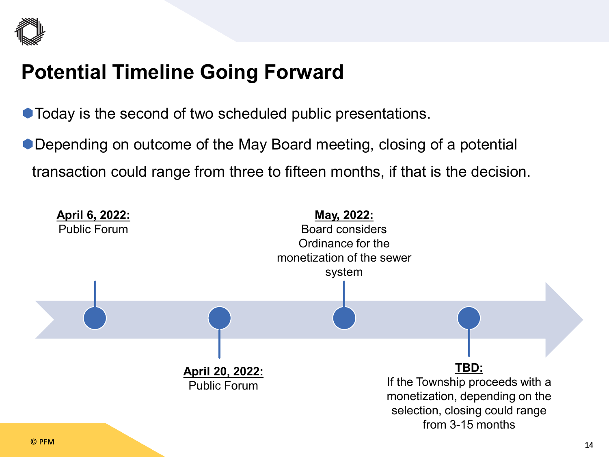

#### **Potential Timeline Going Forward**

 $\bullet$  Today is the second of two scheduled public presentations.

● Depending on outcome of the May Board meeting, closing of a potential transaction could range from three to fifteen months, if that is the decision.

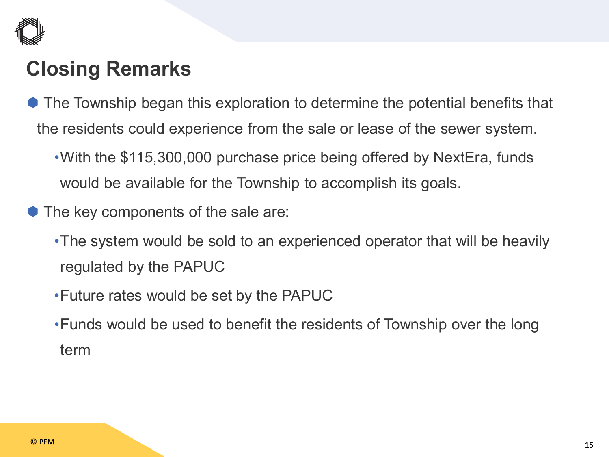

### **Closing Remarks**

- The Township began this exploration to determine the potential benefits that the residents could experience from the sale or lease of the sewer system.
	- •With the \$115,300,000 purchase price being offered by NextEra, funds would be available for the Township to accomplish its goals.
- The key components of the sale are:
	- •The system would be sold to an experienced operator that will be heavily regulated by the PAPUC
	- •Future rates would be set by the PAPUC
	- •Funds would be used to benefit the residents of Township over the long term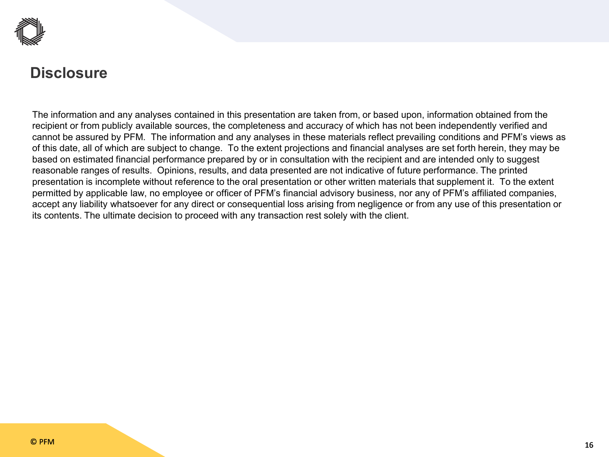

#### **Disclosure**

The information and any analyses contained in this presentation are taken from, or based upon, information obtained from the recipient or from publicly available sources, the completeness and accuracy of which has not been independently verified and cannot be assured by PFM. The information and any analyses in these materials reflect prevailing conditions and PFM's views as of this date, all of which are subject to change. To the extent projections and financial analyses are set forth herein, they may be based on estimated financial performance prepared by or in consultation with the recipient and are intended only to suggest reasonable ranges of results. Opinions, results, and data presented are not indicative of future performance. The printed presentation is incomplete without reference to the oral presentation or other written materials that supplement it. To the extent permitted by applicable law, no employee or officer of PFM's financial advisory business, nor any of PFM's affiliated companies, accept any liability whatsoever for any direct or consequential loss arising from negligence or from any use of this presentation or its contents. The ultimate decision to proceed with any transaction rest solely with the client.